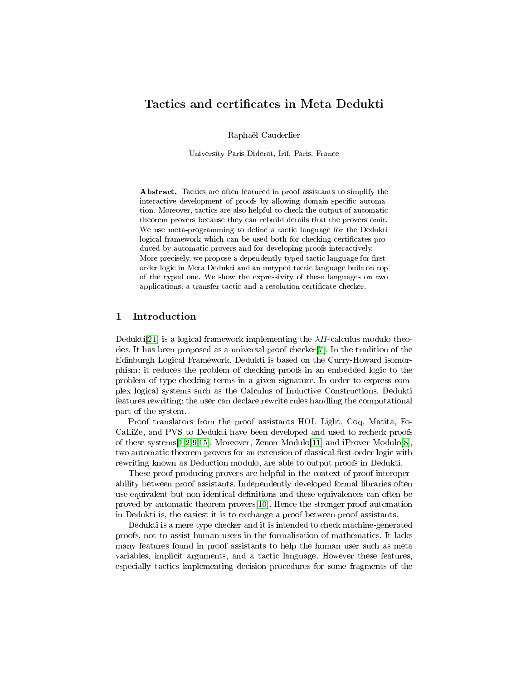# <span id="page-0-0"></span>Tactics and certificates in Meta Dedukti

Raphaël Cauderlier

University Paris Diderot, Irif, Paris, France

Abstract. Tactics are often featured in proof assistants to simplify the interactive development of proofs by allowing domain-specific automation. Moreover, tactics are also helpful to check the output of automatic theorem provers because they can rebuild details that the provers omit. We use meta-programming to define a tactic language for the Dedukti logical framework which can be used both for checking certificates produced by automatic provers and for developing proofs interactively. More precisely, we propose a dependently-typed tactic language for firstorder logic in Meta Dedukti and an untyped tactic language built on top of the typed one. We show the expressivity of these languages on two applications: a transfer tactic and a resolution certificate checker.

### 1 Introduction

Dedukti[\[21\]](#page-17-0) is a logical framework implementing the  $\lambda \Pi$ -calculus modulo theories. It has been proposed as a universal proof checker[\[7\]](#page-16-0). In the tradition of the Edinburgh Logical Framework, Dedukti is based on the Curry-Howard isomorphism: it reduces the problem of checking proofs in an embedded logic to the problem of type-checking terms in a given signature. In order to express complex logical systems such as the Calculus of Inductive Constructions, Dedukti features rewriting: the user can declare rewrite rules handling the computational part of the system.

Proof translators from the proof assistants HOL Light, Coq, Matita, Fo-CaLiZe, and PVS to Dedukti have been developed and used to recheck proofs of these systems[\[1](#page-16-1)[,2,](#page-16-2)[9,](#page-16-3)[15\]](#page-17-1). Moreover, Zenon Modulo[\[11\]](#page-16-4) and iProver Modulo[\[8\]](#page-16-5), two automatic theorem provers for an extension of classical first-order logic with rewriting known as Deduction modulo, are able to output proofs in Dedukti.

These proof-producing provers are helpful in the context of proof interoperability between proof assistants. Independently developed formal libraries often use equivalent but non identical denitions and these equivalences can often be proved by automatic theorem provers[\[10\]](#page-16-6). Hence the stronger proof automation in Dedukti is, the easiest it is to exchange a proof between proof assistants.

Dedukti is a mere type checker and it is intended to check machine-generated proofs, not to assist human users in the formalisation of mathematics. It lacks many features found in proof assistants to help the human user such as meta variables, implicit arguments, and a tactic language. However these features, especially tactics implementing decision procedures for some fragments of the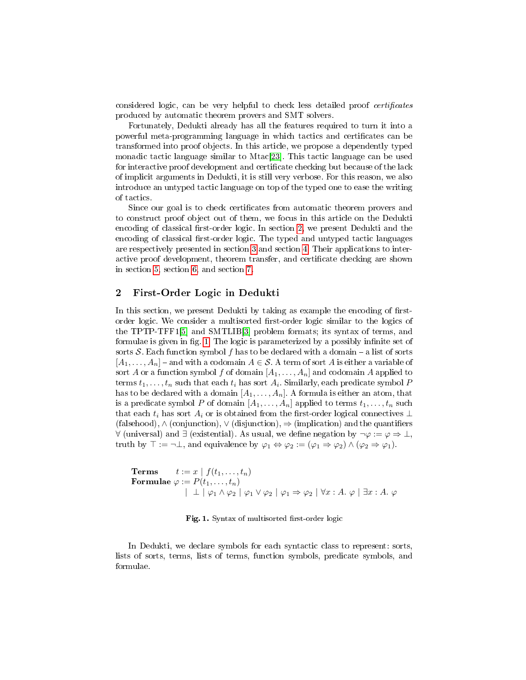considered logic, can be very helpful to check less detailed proof *certificates* produced by automatic theorem provers and SMT solvers.

Fortunately, Dedukti already has all the features required to turn it into a powerful meta-programming language in which tactics and certificates can be transformed into proof objects. In this article, we propose a dependently typed monadic tactic language similar to Mtac[\[23\]](#page-17-2). This tactic language can be used for interactive proof development and certificate checking but because of the lack of implicit arguments in Dedukti, it is still very verbose. For this reason, we also introduce an untyped tactic language on top of the typed one to ease the writing of tactics.

Since our goal is to check certificates from automatic theorem provers and to construct proof object out of them, we focus in this article on the Dedukti encoding of classical first-order logic. In section [2,](#page-1-0) we present Dedukti and the encoding of classical first-order logic. The typed and untyped tactic languages are respectively presented in section [3](#page-3-0) and section [4.](#page-5-0) Their applications to interactive proof development, theorem transfer, and certificate checking are shown in section [5,](#page-6-0) section [6,](#page-9-0) and section [7.](#page-10-0)

#### <span id="page-1-0"></span>2 First-Order Logic in Dedukti

In this section, we present Dedukti by taking as example the encoding of firstorder logic. We consider a multisorted first-order logic similar to the logics of the TPTP-TFF1[\[5\]](#page-16-7) and SMTLIB[\[3\]](#page-16-8) problem formats; its syntax of terms, and formulae is given in fig. [1.](#page-1-1) The logic is parameterized by a possibly infinite set of sorts S. Each function symbol f has to be declared with a domain  $-$  a list of sorts  $[A_1, \ldots, A_n]$  – and with a codomain  $A \in \mathcal{S}$ . A term of sort A is either a variable of sort A or a function symbol f of domain  $[A_1, \ldots, A_n]$  and codomain A applied to  $\text{terms }t_1,\ldots,t_n$  such that each  $t_i$  has sort  $A_i.$  Similarly, each predicate symbol  $P$ has to be declared with a domain  $[A_1, \ldots, A_n]$ . A formula is either an atom, that is a predicate symbol P of domain  $[A_1, \ldots, A_n]$  applied to terms  $t_1, \ldots, t_n$  such that each  $t_i$  has sort  $A_i$  or is obtained from the first-order logical connectives  $\perp$ (falsehood),  $\wedge$  (conjunction),  $\vee$  (disjunction),  $\Rightarrow$  (implication) and the quantifiers  $\forall$  (universal) and  $\exists$  (existential). As usual, we define negation by  $\neg \varphi := \varphi \Rightarrow \bot$ , truth by  $\top := \neg \bot$ , and equivalence by  $\varphi_1 \Leftrightarrow \varphi_2 := (\varphi_1 \Rightarrow \varphi_2) \wedge (\varphi_2 \Rightarrow \varphi_1)$ .

**Terms** 
$$
t := x | f(t_1,...,t_n)
$$
  
\n**Formulae**  $\varphi := P(t_1,...,t_n)$   
\n $\left| \begin{array}{c} \perp \\ \perp \end{array} \right. \varphi_1 \wedge \varphi_2 | \varphi_1 \vee \varphi_2 | \varphi_1 \Rightarrow \varphi_2 | \forall x : A. \varphi | \exists x : A. \varphi$ 

#### <span id="page-1-1"></span>Fig. 1. Syntax of multisorted first-order logic

In Dedukti, we declare symbols for each syntactic class to represent: sorts, lists of sorts, terms, lists of terms, function symbols, predicate symbols, and formulae.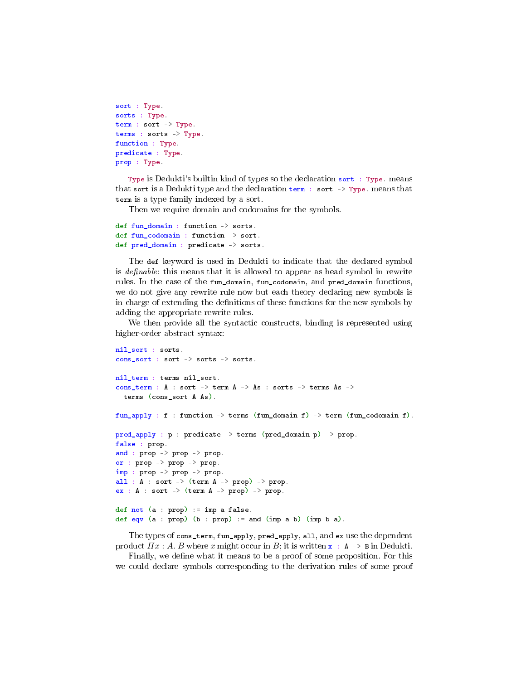```
sort : Type.
sorts : Type.
term : sort -> Type.
terms : sorts -> Type.
function : Type.
predicate : Type.
prop : Type.
```
Type is Dedukti's builtin kind of types so the declaration sort : Type. means that sort is a Dedukti type and the declaration term : sort -> Type. means that term is a type family indexed by a sort.

Then we require domain and codomains for the symbols.

```
def fun_domain : function -> sorts.
def fun_codomain : function -> sort.
def pred_domain : predicate -> sorts.
```
The def keyword is used in Dedukti to indicate that the declared symbol is *definable*: this means that it is allowed to appear as head symbol in rewrite rules. In the case of the fun\_domain, fun\_codomain, and pred\_domain functions, we do not give any rewrite rule now but each theory declaring new symbols is in charge of extending the definitions of these functions for the new symbols by adding the appropriate rewrite rules.

We then provide all the syntactic constructs, binding is represented using higher-order abstract syntax:

```
nil_sort : sorts.
cons_sort : sort -> sorts -> sorts.
nil_term : terms nil_sort.
cons_term : A : sort -> term A -> As : sorts -> terms As ->
 terms (cons_sort A As).
fun_apply : f : function -> terms (fun_domain f) -> term (fun_codomain f).
pred_apply : p : predicate -> terms (pred_domain p) -> prop.
false : prop.
and : prop -> prop -> prop.
or : prop -> prop -> prop.
imp : prop -> prop -> prop.
all : A : sort \rightarrow (term A \rightarrow prop) \rightarrow prop.
ex : A : sort \rightarrow (term A \rightarrow prop) \rightarrow prop.def not (a : prop) := imp a false.
def eqv (a : prop) (b : prop) := and (imp a b) (imp b a).
```
The types of cons\_term, fun\_apply, pred\_apply, all, and ex use the dependent product  $\Pi x : A$ . B where x might occur in B; it is written  $x : A \rightarrow B$  in Dedukti.

Finally, we define what it means to be a proof of some proposition. For this we could declare symbols corresponding to the derivation rules of some proof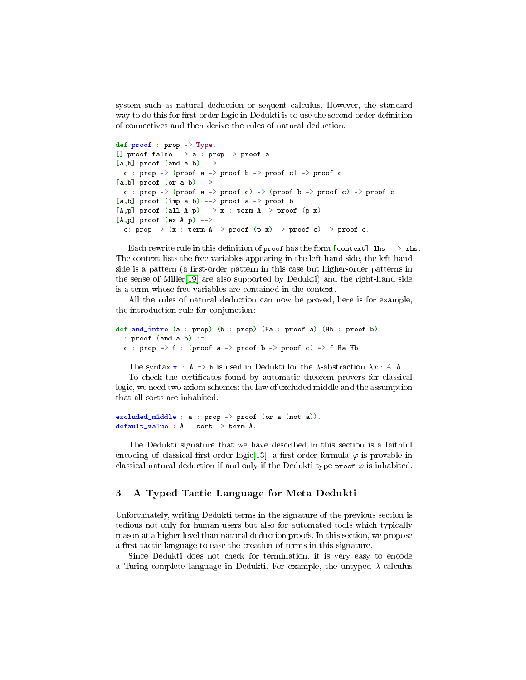system such as natural deduction or sequent calculus. However, the standard way to do this for first-order logic in Dedukti is to use the second-order definition of connectives and then derive the rules of natural deduction.

```
def proof : prop -> Type.
[] proof false --> a : prop -> proof a
[a,b] proof (and a b) \rightarrowc : prop \rightarrow (proof a \rightarrow proof b \rightarrow proof c) \rightarrow proof c
[a,b] proof (or a b) \rightarrowc : prop \rightarrow (proof a \rightarrow proof c) \rightarrow (proof b \rightarrow proof c) \rightarrow proof c
[a, b] proof (imp a b) --> proof a -> proof b
[A, p] proof (all A p) --> x : term A -> proof (p x)
[A,p] proof (ex A p) \rightarrowc: prop \rightarrow (x : term A \rightarrow proof (p x) \rightarrow proof c) \rightarrow proof c.
```
Each rewrite rule in this definition of proof has the form  $[constant]$  lhs --> rhs. The context lists the free variables appearing in the left-hand side, the left-hand side is a pattern (a first-order pattern in this case but higher-order patterns in the sense of Miller[\[19\]](#page-17-3) are also supported by Dedukti) and the right-hand side is a term whose free variables are contained in the context.

All the rules of natural deduction can now be proved, here is for example, the introduction rule for conjunction:

```
def and_intro (a : prop) (b : prop) (Ha : proof a) (Hb : proof b)
  : proof (and a b) :=
 c : prop => f : (proof a -> proof b -> proof c) => f Ha Hb.
```
The syntax  $x : A \Rightarrow b$  is used in Dedukti for the  $\lambda$ -abstraction  $\lambda x : A, b$ .

To check the certificates found by automatic theorem provers for classical logic, we need two axiom schemes: the law of excluded middle and the assumption that all sorts are inhabited.

```
excluded_middle : a : prop -> proof (or a (not a)).
default_value : A : sort -> term A.
```
The Dedukti signature that we have described in this section is a faithful encoding of classical first-order logic[\[13\]](#page-17-4): a first-order formula  $\varphi$  is provable in classical natural deduction if and only if the Dedukti type proof  $\varphi$  is inhabited.

# <span id="page-3-0"></span>3 A Typed Tactic Language for Meta Dedukti

Unfortunately, writing Dedukti terms in the signature of the previous section is tedious not only for human users but also for automated tools which typically reason at a higher level than natural deduction proofs. In this section, we propose a first tactic language to ease the creation of terms in this signature.

Since Dedukti does not check for termination, it is very easy to encode a Turing-complete language in Dedukti. For example, the untyped  $\lambda$ -calculus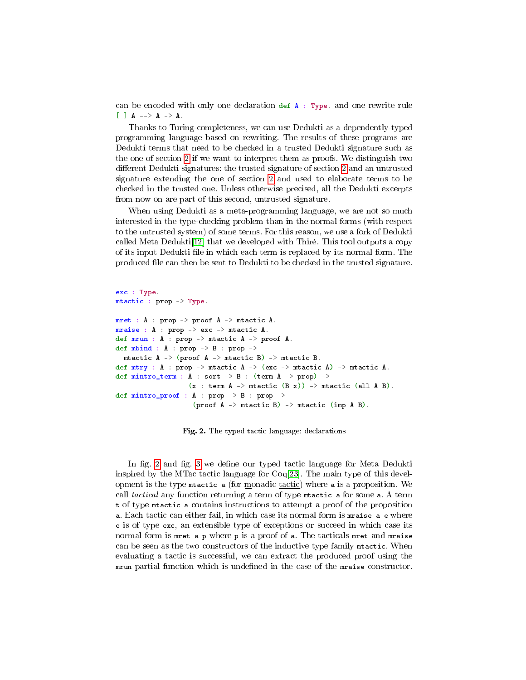can be encoded with only one declaration def A : Type. and one rewrite rule  $[$  ] A --> A -> A.

Thanks to Turing-completeness, we can use Dedukti as a dependently-typed programming language based on rewriting. The results of these programs are Dedukti terms that need to be checked in a trusted Dedukti signature such as the one of section [2](#page-1-0) if we want to interpret them as proofs. We distinguish two different Dedukti signatures: the trusted signature of section [2](#page-1-0) and an untrusted signature extending the one of section [2](#page-1-0) and used to elaborate terms to be checked in the trusted one. Unless otherwise precised, all the Dedukti excerpts from now on are part of this second, untrusted signature.

When using Dedukti as a meta-programming language, we are not so much interested in the type-checking problem than in the normal forms (with respect to the untrusted system) of some terms. For this reason, we use a fork of Dedukti called Meta Dedukti[\[12\]](#page-17-5) that we developed with Thiré. This tool outputs a copy of its input Dedukti file in which each term is replaced by its normal form. The produced le can then be sent to Dedukti to be checked in the trusted signature.

```
exc : Type.
mtactic : prop -> Type.
mret : A : prop -> proof A -> mtactic A.
mraise : A : prop \Rightarrow exc \Rightarrow mtactic A.
def mrun : A : prop -> mtactic A -> proof A.
def mbind : A : prop -> B : prop ->
  mtactic A \rightarrow (proof A \rightarrow mtactic B) \rightarrow mtactic B.
def mtry : A : prop \rightarrow mtactic A \rightarrow (exc \rightarrow mtactic A) \rightarrow mtactic A.
def mintro_term : A : sort \rightarrow B : (term A \rightarrow prop) \rightarrow(x : term A \rightarrow mtactic (B x)) \rightarrow mtactic (all A B).def mintro_proof : A : prop -> B : prop ->
                         (proof A \rightarrow mtactic B) \rightarrow mtactic (imp A B).
```
<span id="page-4-0"></span>Fig. 2. The typed tactic language: declarations

In fig. [2](#page-4-0) and fig. [3](#page-5-1) we define our typed tactic language for Meta Dedukti inspired by the MTac tactic language for  $Coq[23]$  $Coq[23]$ . The main type of this development is the type mtactic a (for monadic tactic) where a is a proposition. We call tactical any function returning a term of type mtactic a for some a. A term t of type mtactic a contains instructions to attempt a proof of the proposition a. Each tactic can either fail, in which case its normal form is mraise a e where e is of type exc, an extensible type of exceptions or succeed in which case its normal form is mret a p where p is a proof of a. The tacticals mret and mraise can be seen as the two constructors of the inductive type family mtactic. When evaluating a tactic is successful, we can extract the produced proof using the mrun partial function which is undefined in the case of the mraise constructor.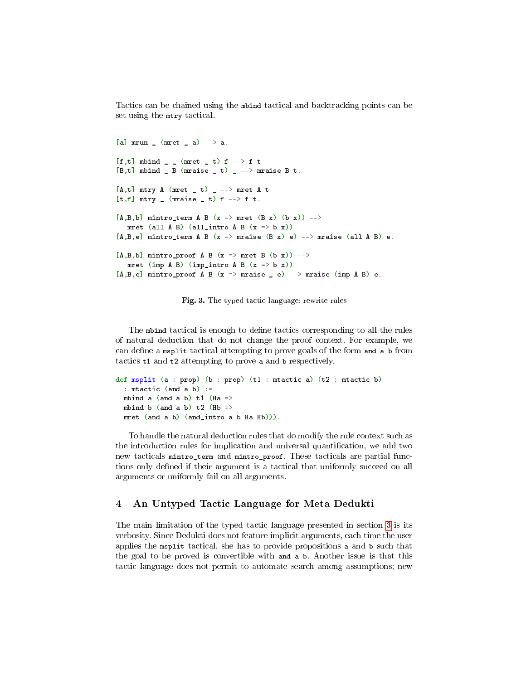Tactics can be chained using the mbind tactical and backtracking points can be set using the mtry tactical.

```
[a] mrun (mret a) --> a.
[f, t] mbind _ _ (mret _ t) f --> f t
[B, t] mbind B (mraise t) - \rightarrow mraise B t.
[A, t] mtry A (mret _ t) _ --> mret A t
[t, f] mtry ( mraise (t) f --> f t.
[A, B, b] mintro_term A B (x => mret (B x) (b x)) -->
   mret (all A B) (all_intro A B (x \Rightarrow b x))
[A,B,e] mintro_term A B (x => mraise (B x) e) --> mraise (all A B) e.
[A, B, b] mintro_proof A B (x => mret B (b x)) -->
   mret (imp A B) (imp_intro A B (x \Rightarrow b \ x))[A, B, e] mintro_proof A B (x => mraise _ e) --> mraise (imp A B) e.
```
<span id="page-5-1"></span>Fig. 3. The typed tactic language: rewrite rules

The mbind tactical is enough to define tactics corresponding to all the rules of natural deduction that do not change the proof context. For example, we can define a msplit tactical attempting to prove goals of the form and a b from tactics t1 and t2 attempting to prove a and b respectively.

```
def msplit (a : prop) (b : prop) (t1 : mtactic a) (t2 : mtactic b)
  : mtactic (and a b) :=
 mbind a (and a b) t1 (Ha =>
 mbind b (and a b) t2 (Hb =>
 mret (and a b) (and_intro a b Ha Hb))).
```
To handle the natural deduction rules that do modify the rule context such as the introduction rules for implication and universal quantification, we add two new tacticals mintro\_term and mintro\_proof. These tacticals are partial functions only defined if their argument is a tactical that uniformly succeed on all arguments or uniformly fail on all arguments.

### <span id="page-5-0"></span>4 An Untyped Tactic Language for Meta Dedukti

The main limitation of the typed tactic language presented in section [3](#page-3-0) is its verbosity. Since Dedukti does not feature implicit arguments, each time the user applies the msplit tactical, she has to provide propositions a and b such that the goal to be proved is convertible with and a b. Another issue is that this tactic language does not permit to automate search among assumptions; new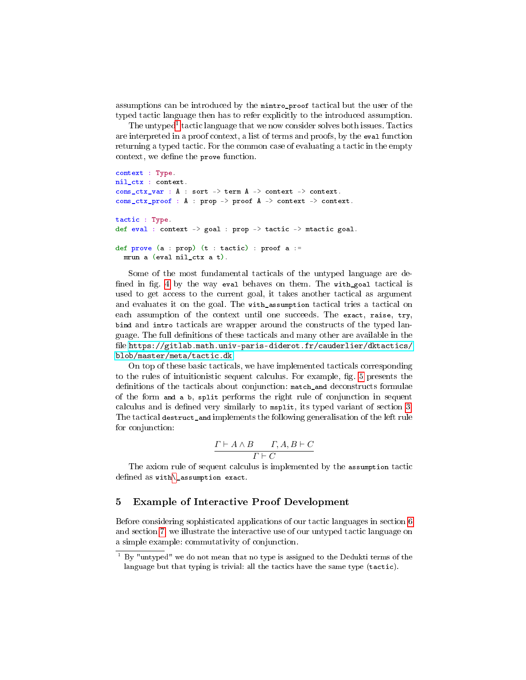assumptions can be introduced by the mintro\_proof tactical but the user of the typed tactic language then has to refer explicitly to the introduced assumption.

The untyped<sup>[1](#page-0-0)</sup> tactic language that we now consider solves both issues. Tactics are interpreted in a proof context, a list of terms and proofs, by the eval function returning a typed tactic. For the common case of evaluating a tactic in the empty context, we define the prove function.

```
context : Type.
nil_ctx : context.
cons_ctx_var : A : sort -> term A -> context -> context.
cons_ctx_proof : A : prop -> proof A -> context -> context.
tactic : Type.
def eval : context -> goal : prop -> tactic -> mtactic goal.
def prove (a : prop) (t : tactic) : proof a :=mrun a (eval nil_ctx a t).
```
Some of the most fundamental tacticals of the untyped language are de- fined in fig. [4](#page-7-0) by the way eval behaves on them. The with\_goal tactical is used to get access to the current goal, it takes another tactical as argument and evaluates it on the goal. The with\_assumption tactical tries a tactical on each assumption of the context until one succeeds. The exact, raise, try, bind and intro tacticals are wrapper around the constructs of the typed language. The full definitions of these tacticals and many other are available in the le [https://gitlab.math.univ-paris-diderot.fr/cauderlier/dktactics/](https://gitlab.math.univ-paris-diderot.fr/cauderlier/dktactics/blob/master/meta/tactic.dk) [blob/master/meta/tactic.dk](https://gitlab.math.univ-paris-diderot.fr/cauderlier/dktactics/blob/master/meta/tactic.dk)

On top of these basic tacticals, we have implemented tacticals corresponding to the rules of intuitionistic sequent calculus. For example, fig. [5](#page-7-1) presents the definitions of the tacticals about conjunction: match\_and deconstructs formulae of the form and a b, split performs the right rule of conjunction in sequent calculus and is defined very similarly to msplit, its typed variant of section [3.](#page-3-0) The tactical destruct\_and implements the following generalisation of the left rule for conjunction:

$$
\frac{\varGamma\vdash A\wedge B\qquad \varGamma, A,B\vdash C}{\varGamma\vdash C}
$$

The axiom rule of sequent calculus is implemented by the assumption tactic defined as  $\texttt{with}\$  assumption exact.

#### <span id="page-6-0"></span>5 Example of Interactive Proof Development

Before considering sophisticated applications of our tactic languages in section [6](#page-9-0) and section [7,](#page-10-0) we illustrate the interactive use of our untyped tactic language on a simple example: commutativity of conjunction.

 $1$  By "untyped" we do not mean that no type is assigned to the Dedukti terms of the language but that typing is trivial: all the tactics have the same type (tactic).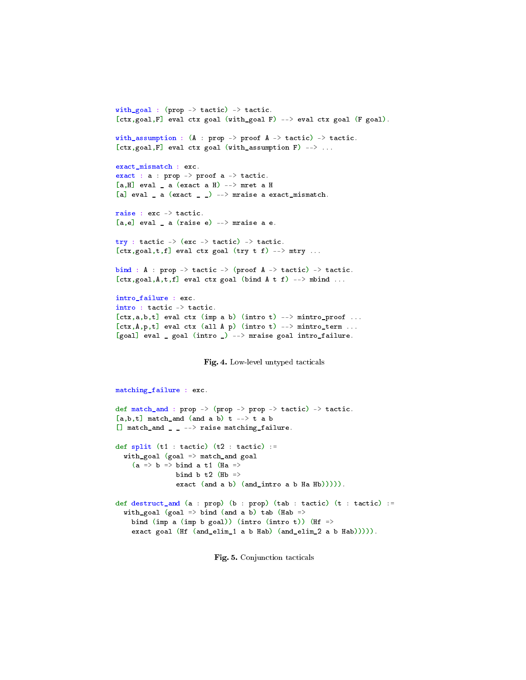```
with_goal : (prop \rightarrow tactic) \rightarrow tactic.
[ctx,goal,F] eval ctx goal (with_goal F) --> eval ctx goal (F goal).
with_assumption : (A : prop \rightarrow proof A \rightarrow tactic) \rightarrow tactic.[ctx,goal,F] eval ctx goal (with_assumption F) \rightarrow ...
exact_mismatch : exc.
exact : a : prop \rightarrow proof a \rightarrow tactic.[a, H] eval a (exact a H) --> mret a H
[a] eval a (exact a ) --> mraise a exact_mismatch.
raise : exc -> tactic.
[a,e] eval [a] a (raise e) --> mraise a e.
try : tactic -> (exc -> tactic) -> tactic.
[ctx,goal,t,f] eval ctx goal (\text{try } t f) --> mtry ...
bind : A : prop \rightarrow tactic \rightarrow (proof A \rightarrow tactic) \rightarrow tactic.
[ctx,goal,A,t,f] eval ctx goal (bind A t f) --> mbind ...
intro_failure : exc.
intro : tactic -> tactic.
[ctx, a, b, t] eval ctx (imp a b) (intro t) --> mintro_proof ...
[ctx, A, p, t] eval ctx (all A p) (intro t) --> mintro_term ...
[goal] eval _ goal (intro _) --> mraise goal intro_failure.
```
<span id="page-7-0"></span>Fig. 4. Low-level untyped tacticals

```
matching_failure : exc.
def match_and : prop -> (prop -> prop -> tactic) -> tactic.
[a,b,t] match_and (and a b) t --> t a b
\boxed{]} match_and _ _ --> raise matching_failure.
def split (t1 : \text{tactic}) (t2 : \text{tactic}) :=with_goal (goal => match_and goal
    (a \Rightarrow b \Rightarrow b ind a t1 (Ha =>
                bind b t2 (Hb \Rightarrowexact (and a b) (and_intro a b Ha Hb))))).
def destruct_and (a : prop) (b : prop) (tab : tactic) (t : tactic) :=
  with_goal (goal => bind (and a b) tab (Hab =>
    bind (imp a (imp b goal)) (intro (intro t)) (Hf =>
    exact goal (Hf (and_elim_1 a b Hab) (and_elim_2 a b Hab))))).
```
<span id="page-7-1"></span>Fig. 5. Conjunction tacticals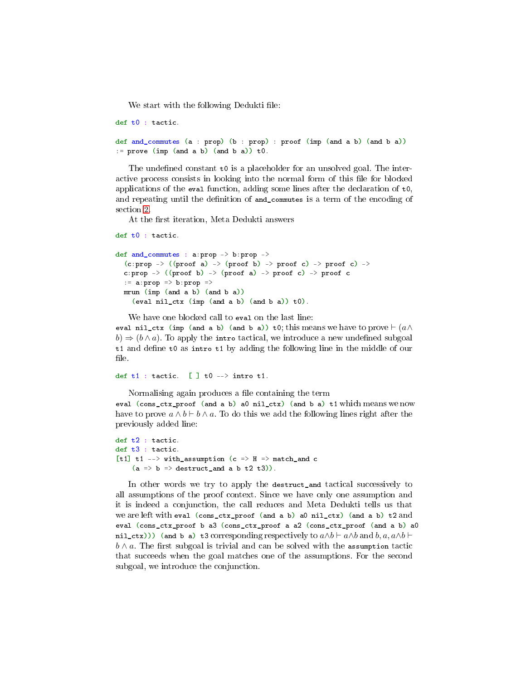We start with the following Dedukti file:

```
def t0 : tactic.
```

```
def and_commutes (a : prop) (b : prop) : proof (imp (and a b) (and b a))
:= prove (imp (and a b) (and b a)) t0.
```
The undefined constant  $\tau$  is a placeholder for an unsolved goal. The interactive process consists in looking into the normal form of this file for blocked applications of the eval function, adding some lines after the declaration of t0, and repeating until the definition of and\_commutes is a term of the encoding of section [2.](#page-1-0)

At the first iteration, Meta Dedukti answers

def t0 : tactic.

```
def and_commutes : a:prop -> b:prop ->
  (c:prop -> ((proof a) -> (proof b) -> proof c) -> proof c) ->
  c:prop \rightarrow ((proof b) \rightarrow (proof a) \rightarrow proof c) \rightarrow proof c
  := a:prop => b:prop =>
  mrun (imp (and a b) (and b a))
    (eval nil_ctx (imp (and a b) (and b a)) t0).
```
We have one blocked call to eval on the last line:

eval nil\_ctx (imp (and a b) (and b a)) t0; this means we have to prove  $\vdash$   $(a \wedge$  $b) \Rightarrow (b \wedge a)$ . To apply the introduce a new undefined subgoal t1 and define t0 as intro t1 by adding the following line in the middle of our file.

def  $t1$  : tactic.  $[]$  t0 --> intro t1.

Normalising again produces a file containing the term

eval (cons\_ctx\_proof (and a b) a0 nil\_ctx) (and b a) t1 which means we now have to prove  $a \wedge b \vdash b \wedge a$ . To do this we add the following lines right after the previously added line:

```
def t2 : tactic.
def t3 : tactic.
[t1] t1 --> with_assumption (c \Rightarrow H \Rightarrow match_and c
     (a \Rightarrow b \Rightarrow destruct_and a b t2 t3)).
```
In other words we try to apply the destruct\_and tactical successively to all assumptions of the proof context. Since we have only one assumption and it is indeed a conjunction, the call reduces and Meta Dedukti tells us that we are left with eval (cons\_ctx\_proof (and a b) a0 nil\_ctx) (and a b) t2 and eval (cons\_ctx\_proof b a3 (cons\_ctx\_proof a a2 (cons\_ctx\_proof (and a b) a0 nil\_ctx))) (and b a) t3 corresponding respectively to  $a \wedge b \vdash a \wedge b$  and  $b, a, a \wedge b \vdash$  $b \wedge a$ . The first subgoal is trivial and can be solved with the assumption tactic that succeeds when the goal matches one of the assumptions. For the second subgoal, we introduce the conjunction.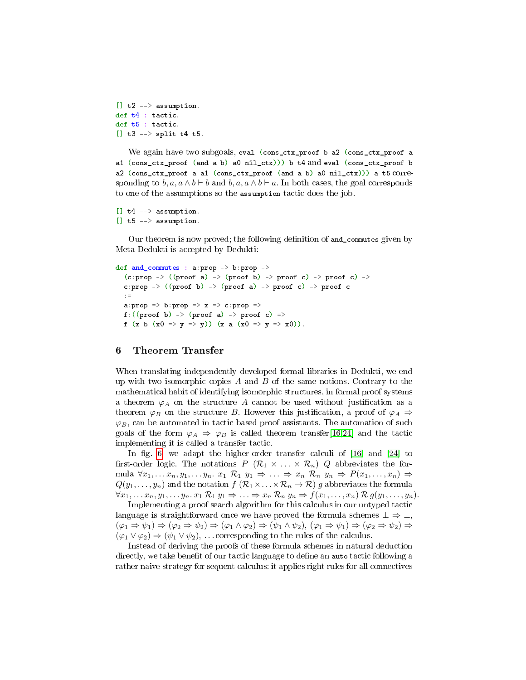```
\begin{bmatrix} \cdot & 0 \\ 0 & \cdot & -\end{bmatrix} assumption.
def t4 : tactic.
def t5 : tactic.
[] t3 --> split t4 t5.
```
We again have two subgoals, eval (cons\_ctx\_proof b a2 (cons\_ctx\_proof a a1 (cons\_ctx\_proof (and a b) a0 nil\_ctx))) b t4 and eval (cons\_ctx\_proof b a2 (cons\_ctx\_proof a a1 (cons\_ctx\_proof (and a b) a0 nil\_ctx))) a t5 corresponding to  $b, a, a \wedge b \vdash b$  and  $b, a, a \wedge b \vdash a$ . In both cases, the goal corresponds to one of the assumptions so the assumption tactic does the job.

```
[] t4 --> assumption.
[] t5 --> assumption.
```
Our theorem is now proved; the following definition of and\_commutes given by Meta Dedukti is accepted by Dedukti:

```
def and_commutes : a:prop -> b:prop ->
  (c:prop \rightarrow ((proof a) \rightarrow (proof b) \rightarrow proof c) \rightarrow proof c) \rightarrowc:prop \rightarrow ((proof b) \rightarrow (proof a) \rightarrow proof c) \rightarrow proof c
  : =a:prop => b:prop => x => c:prop =>
  f:((proof b) -> (proof a) -> proof c) =>
  f (x b (x0 => y => y)) (x a (x0 => y => x0)).
```
#### <span id="page-9-0"></span>6 Theorem Transfer

When translating independently developed formal libraries in Dedukti, we end up with two isomorphic copies  $A$  and  $B$  of the same notions. Contrary to the mathematical habit of identifying isomorphic structures, in formal proof systems a theorem  $\varphi_A$  on the structure A cannot be used without justification as a theorem  $\varphi_B$  on the structure B. However this justification, a proof of  $\varphi_A \Rightarrow$  $\varphi_B$ , can be automated in tactic based proof assistants. The automation of such goals of the form  $\varphi_A \Rightarrow \varphi_B$  is called theorem transfer [\[16,](#page-17-6)[24\]](#page-17-7) and the tactic implementing it is called a transfer tactic.

In fig. [6,](#page-10-1) we adapt the higher-order transfer calculi of  $[16]$  and  $[24]$  to first-order logic. The notations  $P$   $(\mathcal{R}_1 \times ... \times \mathcal{R}_n)$  Q abbreviates the formula  $\forall x_1, \ldots x_n, y_1, \ldots y_n$ .  $x_1 \mathcal{R}_1 y_1 \Rightarrow \ldots \Rightarrow x_n \mathcal{R}_n y_n \Rightarrow P(x_1, \ldots, x_n) \Rightarrow$  $Q(y_1, \ldots, y_n)$  and the notation  $f$   $(\mathcal{R}_1 \times \ldots \times \mathcal{R}_n \to \mathcal{R})$  g abbreviates the formula  $\forall x_1, \ldots x_n, y_1, \ldots y_n \ldots x_1 \mathcal{R}_1 y_1 \Rightarrow \ldots \Rightarrow x_n \mathcal{R}_n y_n \Rightarrow f(x_1, \ldots, x_n) \mathcal{R} g(y_1, \ldots, y_n).$ 

Implementing a proof search algorithm for this calculus in our untyped tactic language is straightforward once we have proved the formula schemes  $\perp \Rightarrow \perp$ ,  $(\varphi_1 \Rightarrow \psi_1) \Rightarrow (\varphi_2 \Rightarrow \psi_2) \Rightarrow (\varphi_1 \land \varphi_2) \Rightarrow (\psi_1 \land \psi_2), (\varphi_1 \Rightarrow \psi_1) \Rightarrow (\varphi_2 \Rightarrow \psi_2) \Rightarrow$  $(\varphi_1 \vee \varphi_2) \Rightarrow (\psi_1 \vee \psi_2), \ldots$  corresponding to the rules of the calculus.

Instead of deriving the proofs of these formula schemes in natural deduction directly, we take benefit of our tactic language to define an auto tactic following a rather naive strategy for sequent calculus: it applies right rules for all connectives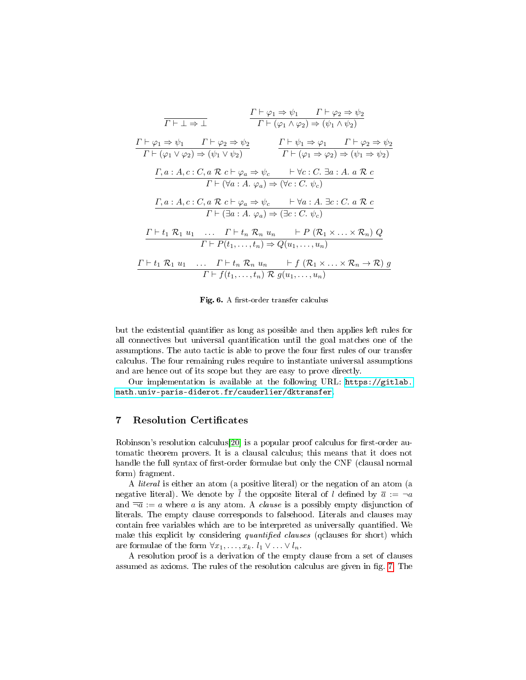$$
\frac{\Gamma \vdash \varphi_1 \Rightarrow \psi_1 \qquad \Gamma \vdash \varphi_2 \Rightarrow \psi_2}{\Gamma \vdash (\varphi_1 \land \varphi_2) \Rightarrow (\psi_1 \land \psi_2)}
$$
\n
$$
\frac{\Gamma \vdash \varphi_1 \Rightarrow \psi_1 \qquad \Gamma \vdash \varphi_2 \Rightarrow \psi_2}{\Gamma \vdash (\varphi_1 \lor \varphi_2) \Rightarrow (\psi_1 \lor \psi_2)} \qquad \frac{\Gamma \vdash \psi_1 \Rightarrow \varphi_1 \qquad \Gamma \vdash \varphi_2 \Rightarrow \psi_2}{\Gamma \vdash (\varphi_1 \Rightarrow \varphi_2) \Rightarrow (\psi_1 \Rightarrow \psi_2)}
$$
\n
$$
\frac{\Gamma, a : A, c : C, a \mathcal{R} c \vdash \varphi_a \Rightarrow \psi_c \qquad \vdash \forall c : C. \exists a : A. a \mathcal{R} c}{\Gamma \vdash (\forall a : A. \varphi_a) \Rightarrow (\forall c : C. \psi_c)}
$$
\n
$$
\frac{\Gamma, a : A, c : C, a \mathcal{R} c \vdash \varphi_a \Rightarrow \psi_c \qquad \vdash \forall a : A. \exists c : C. a \mathcal{R} c}{\Gamma \vdash (\exists a : A. \varphi_a) \Rightarrow (\exists c : C. \psi_c)}
$$
\n
$$
\frac{\Gamma \vdash t_1 \mathcal{R}_1 u_1 \qquad \dots \qquad \Gamma \vdash t_n \mathcal{R}_n u_n \qquad \vdash P (\mathcal{R}_1 \times \dots \times \mathcal{R}_n) Q}{\Gamma \vdash P(t_1, \dots, t_n) \Rightarrow Q(u_1, \dots, u_n)}
$$
\n
$$
\frac{\Gamma \vdash t_1 \mathcal{R}_1 u_1 \qquad \dots \qquad \Gamma \vdash t_n \mathcal{R}_n u_n \qquad \vdash f (\mathcal{R}_1 \times \dots \times \mathcal{R}_n \to \mathcal{R}) g}{\Gamma \vdash f(t_1, \dots, t_n) \mathcal{R} g(u_1, \dots, u_n)}
$$

<span id="page-10-1"></span>Fig. 6. A first-order transfer calculus

but the existential quantifier as long as possible and then applies left rules for all connectives but universal quantification until the goal matches one of the assumptions. The auto tactic is able to prove the four first rules of our transfer calculus. The four remaining rules require to instantiate universal assumptions and are hence out of its scope but they are easy to prove directly.

Our implementation is available at the following URL: [https://gitlab.](https://gitlab.math.univ-paris-diderot.fr/cauderlier/dktransfer) [math.univ-paris-diderot.fr/cauderlier/dktransfer.](https://gitlab.math.univ-paris-diderot.fr/cauderlier/dktransfer)

# <span id="page-10-0"></span>7 Resolution Certificates

Robinson's resolution calculus  $[20]$  is a popular proof calculus for first-order automatic theorem provers. It is a clausal calculus; this means that it does not handle the full syntax of first-order formulae but only the CNF (clausal normal form) fragment.

A literal is either an atom (a positive literal) or the negation of an atom (a negative literal). We denote by  $\bar{l}$  the opposite literal of l defined by  $\bar{a} := \neg a$ and  $\overline{\neg a} := a$  where a is any atom. A *clause* is a possibly empty disjunction of literals. The empty clause corresponds to falsehood. Literals and clauses may contain free variables which are to be interpreted as universally quantied. We make this explicit by considering quantified clauses (qclauses for short) which are formulae of the form  $\forall x_1, \ldots, x_k, l_1 \vee \ldots \vee l_n$ .

A resolution proof is a derivation of the empty clause from a set of clauses assumed as axioms. The rules of the resolution calculus are given in fig. [7.](#page-11-0) The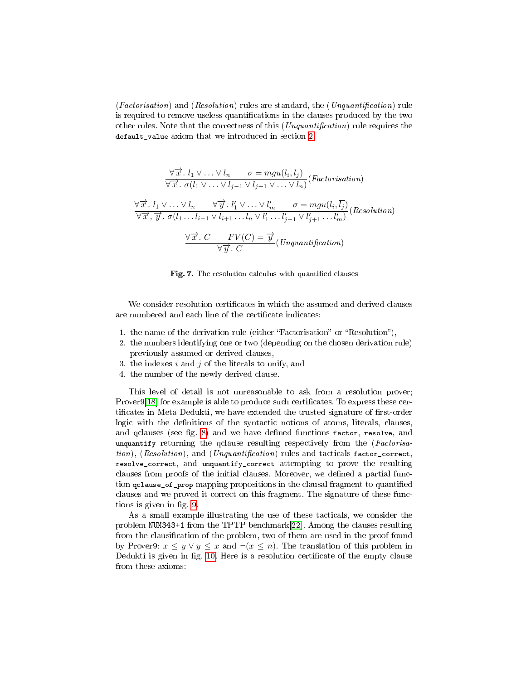$(Factorisation)$  and  $(Resolution)$  rules are standard, the  $(Unquantification)$  rule is required to remove useless quantifications in the clauses produced by the two other rules. Note that the correctness of this  $(Unquantification)$  rule requires the default\_value axiom that we introduced in section [2.](#page-1-0)

$$
\frac{\forall \vec{x}. l_1 \lor \dots \lor l_n \qquad \sigma = mgu(l_i, l_j)}{\forall \vec{x}. \sigma(l_1 \lor \dots \lor l_{j-1} \lor l_{j+1} \lor \dots \lor l_n)} (Factorisation)
$$
  

$$
\frac{\forall \vec{x}. l_1 \lor \dots \lor l_n \qquad \forall \vec{y}. l'_1 \lor \dots \lor l'_m \qquad \sigma = mgu(l_i, l_j)}{\forall \vec{x}. \vec{y}. \sigma(l_1 \dots l_{i-1} \lor l_{i+1} \dots l_n \lor l'_1 \dots l'_{j-1} \lor l'_{j+1} \dots l'_m)} (Resolution)
$$
  

$$
\frac{\forall \vec{x}. C \qquad FV(C) = \vec{y}}{\forall \vec{y}. C} (Unquantification)
$$

<span id="page-11-0"></span>Fig. 7. The resolution calculus with quantified clauses

We consider resolution certificates in which the assumed and derived clauses are numbered and each line of the certificate indicates:

- 1. the name of the derivation rule (either "Factorisation" or "Resolution"),
- 2. the numbers identifying one or two (depending on the chosen derivation rule) previously assumed or derived clauses,
- 3. the indexes  $i$  and  $j$  of the literals to unify, and
- 4. the number of the newly derived clause.

This level of detail is not unreasonable to ask from a resolution prover; Prover9[\[18\]](#page-17-9) for example is able to produce such certificates. To express these certificates in Meta Dedukti, we have extended the trusted signature of first-order logic with the definitions of the syntactic notions of atoms, literals, clauses, and gclauses (see fig. [8\)](#page-12-0) and we have defined functions factor, resolve, and unquantify returning the qclause resulting respectively from the (Factorisa $tion), (Resolution),$  and  $(Unquantification)$  rules and tacticals factor\_correct, resolve\_correct, and unquantify\_correct attempting to prove the resulting clauses from proofs of the initial clauses. Moreover, we defined a partial function qclause\_of\_prop mapping propositions in the clausal fragment to quantified clauses and we proved it correct on this fragment. The signature of these func-tions is given in fig. [9.](#page-12-1)

As a small example illustrating the use of these tacticals, we consider the problem NUM343+1 from the TPTP benchmark[\[22\]](#page-17-10). Among the clauses resulting from the clausification of the problem, two of them are used in the proof found by Prover9:  $x \leq y \vee y \leq x$  and  $\neg(x \leq n)$ . The translation of this problem in Dedukti is given in fig. [10.](#page-13-0) Here is a resolution certificate of the empty clause from these axioms: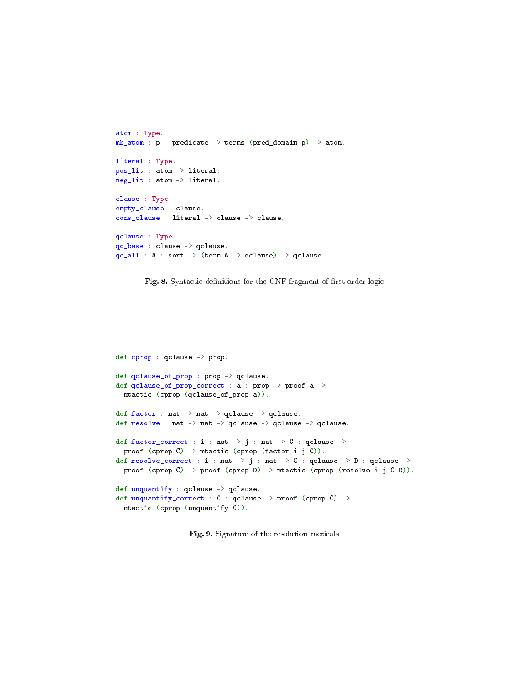```
atom : Type.
mk\_atom : p : predicate -> terms (pred\_domain p) -> atom.literal : Type.
pos_lit : atom -> literal.
neg_lit : atom -> literal.
clause : Type.
empty_clause : clause.
cons_clause : literal -> clause -> clause.
qclause : Type.
qc_base : clause -> qclause.
qc\_all : A : sort \rightarrow (term A \rightarrow qclause) \rightarrow qclause.
```
<span id="page-12-0"></span>Fig. 8. Syntactic definitions for the CNF fragment of first-order logic

```
def cprop : qclause -> prop.
def qclause_of_prop : prop -> qclause.
def qclause_of_prop_correct : a : prop -> proof a ->
  mtactic (cprop (qclause_of_prop a)).
def factor : nat -> nat -> qclause -> qclause.
def resolve : nat -> nat -> qclause -> qclause -> qclause.
def factor_correct : i : nat -> j : nat -> C : qclause ->
 proof (cprop C) -> mtactic (cprop (factor i j C)).
def resolve_correct : i : nat -> j : nat -> C : qclause -> D : qclause ->
  proof (cprop C) -> proof (cprop D) -> mtactic (cprop (resolve i j C D)).
def unquantify : qclause -> qclause.
def unquantify_correct : C : qclause -> proof (cprop C) ->
  mtactic (cprop (unquantify C)).
```
<span id="page-12-1"></span>Fig. 9. Signature of the resolution tacticals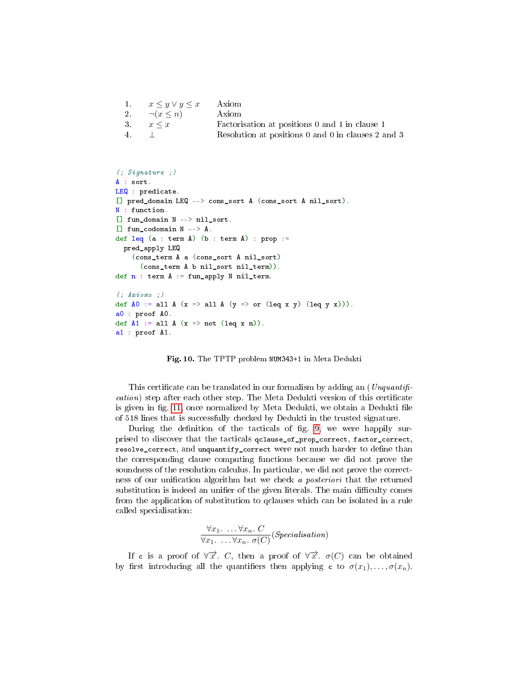1.  $x \leq y \vee y \leq x$  Axiom 2.  $\neg(x \leq n)$  Axiom 3.  $x \leq x$  Factorisation at positions 0 and 1 in clause 1 4.  $\perp$  Resolution at positions 0 and 0 in clauses 2 and 3

```
(; Signature ;)
A : sort.
LEQ : predicate.
[] pred_domain LEQ --> cons_sort A (cons_sort A nil_sort).
N : function.
[] fun_domain N --> nil_sort.
\begin{bmatrix} \end{bmatrix} fun_codomain N --> A.
def leq (a : term A) (b : term A) : prop :=pred_apply LEQ
    (cons_term A a (cons_sort A nil_sort)
       (cons_term A b nil_sort nil_term)).
def n : term A := fun_apply N nil_term.
(i: Axioms)def A0 := all A (x => all A (y => or (leq x y) (leq y x))).a0 : proof A0.
def A1 := a11 A (x \Rightarrow not (leq x n)).a1 : proof A1.
```
<span id="page-13-0"></span>

This certificate can be translated in our formalism by adding an  $(Unquantifi$ cation) step after each other step. The Meta Dedukti version of this certificate is given in fig. [11,](#page-14-0) once normalized by Meta Dedukti, we obtain a Dedukti file of 518 lines that is successfully checked by Dedukti in the trusted signature.

During the definition of the tacticals of fig. [9,](#page-12-1) we were happily surprised to discover that the tacticals qclause\_of\_prop\_correct, factor\_correct, resolve\_correct, and unquantify\_correct were not much harder to define than the corresponding clause computing functions because we did not prove the soundness of the resolution calculus. In particular, we did not prove the correctness of our unification algorithm but we check a *posteriori* that the returned substitution is indeed an unifier of the given literals. The main difficulty comes from the application of substitution to qclauses which can be isolated in a rule called specialisation:

$$
\frac{\forall x_1. \ldots. \forall x_n. C}{\forall x_1. \ldots. \forall x_n. \sigma(C)} (Specialisation)
$$

If c is a proof of  $\forall \overrightarrow{x}$ . C, then a proof of  $\forall \overrightarrow{x}$ .  $\sigma(C)$  can be obtained by first introducing all the quantifiers then applying c to  $\sigma(x_1), \ldots, \sigma(x_n)$ .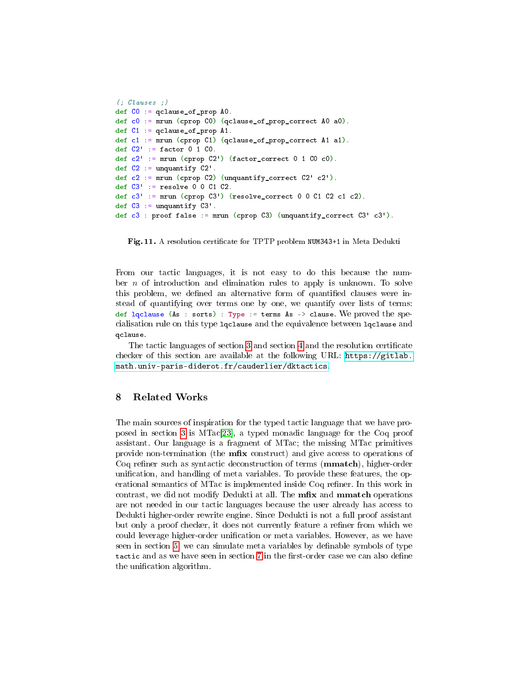```
(; Clauses ;)
def C0 := qclause_of_prop A0.
def c0 := mrun (cprop C0) (qclause_of_prop_correct A0 a0).
def C1 := qclause_of_prop A1.
def c1 := mrun (cprop C1) (qclause_of_prop_correct A1 a1).
def C2' := factor 0 1 C0def c2' := mrun (cprop C2') (factor_correct 0 1 C0 c0).
def C2 := unquantify C2'.
def c2 := mrun (cprop C2) (unquantify_correct C2' c2').
def C3' := resolve 0 0 C1 C2.
def c3' := mrun (cprop C3') (resolve_correct 0 0 C1 C2 c1 c2).
def C3 := unquantify C3'.
def c3: proof false := mrun (cprop C3) (unquantify_correct C3' c3').
```
<span id="page-14-0"></span>Fig. 11. A resolution certificate for TPTP problem NUM343+1 in Meta Dedukti

From our tactic languages, it is not easy to do this because the number  $n$  of introduction and elimination rules to apply is unknown. To solve this problem, we defined an alternative form of quantified clauses were instead of quantifying over terms one by one, we quantify over lists of terms: def lqclause (As : sorts) : Type := terms As -> clause. We proved the specialisation rule on this type lqclause and the equivalence between lqclause and qclause.

The tactic languages of section [3](#page-3-0) and section [4](#page-5-0) and the resolution certificate checker of this section are available at the following URL: [https://gitlab.](https://gitlab.math.univ-paris-diderot.fr/cauderlier/dktactics) [math.univ-paris-diderot.fr/cauderlier/dktactics.](https://gitlab.math.univ-paris-diderot.fr/cauderlier/dktactics)

# 8 Related Works

The main sources of inspiration for the typed tactic language that we have proposed in section [3](#page-3-0) is MTac[\[23\]](#page-17-2), a typed monadic language for the Coq proof assistant. Our language is a fragment of MTac; the missing MTac primitives provide non-termination (the  $m\hat{h}x$  construct) and give access to operations of Coq refiner such as syntactic deconstruction of terms (mmatch), higher-order unification, and handling of meta variables. To provide these features, the operational semantics of MTac is implemented inside Coq refiner. In this work in contrast, we did not modify Dedukti at all. The mfix and mmatch operations are not needed in our tactic languages because the user already has access to Dedukti higher-order rewrite engine. Since Dedukti is not a full proof assistant but only a proof checker, it does not currently feature a refiner from which we could leverage higher-order unification or meta variables. However, as we have seen in section [5,](#page-6-0) we can simulate meta variables by definable symbols of type tactic and as we have seen in section [7](#page-10-0) in the first-order case we can also define the unification algorithm.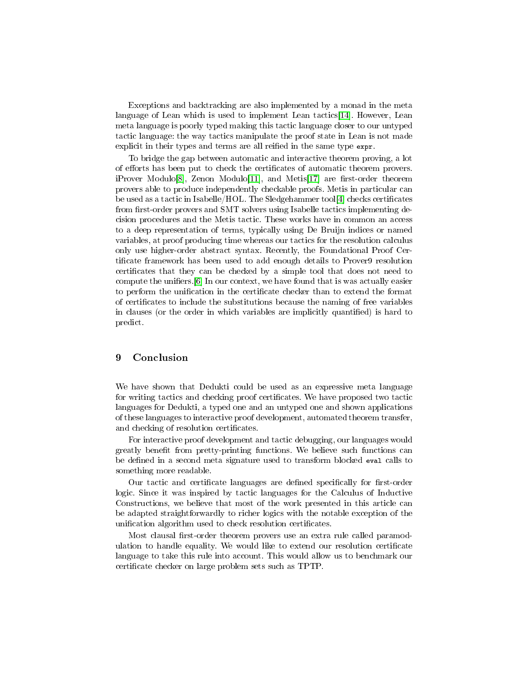Exceptions and backtracking are also implemented by a monad in the meta language of Lean which is used to implement Lean tactics [\[14\]](#page-17-11). However, Lean meta language is poorly typed making this tactic language closer to our untyped tactic language: the way tactics manipulate the proof state in Lean is not made explicit in their types and terms are all reified in the same type expr.

To bridge the gap between automatic and interactive theorem proving, a lot of efforts has been put to check the certificates of automatic theorem provers.  $iP\$ rover Modulo[\[8\]](#page-16-5), Zenon Modulo[\[11\]](#page-16-4), and Metis[\[17\]](#page-17-12) are first-order theorem provers able to produce independently checkable proofs. Metis in particular can be used as a tactic in Isabelle/HOL. The Sledgehammer tool[\[4\]](#page-16-9) checks certificates from first-order provers and SMT solvers using Isabelle tactics implementing decision procedures and the Metis tactic. These works have in common an access to a deep representation of terms, typically using De Bruijn indices or named variables, at proof producing time whereas our tactics for the resolution calculus only use higher-order abstract syntax. Recently, the Foundational Proof Certificate framework has been used to add enough details to Prover9 resolution certificates that they can be checked by a simple tool that does not need to compute the unifiers.  $[6]$  In our context, we have found that is was actually easier to perform the unification in the certificate checker than to extend the format of certicates to include the substitutions because the naming of free variables in clauses (or the order in which variables are implicitly quantified) is hard to predict.

#### 9 Conclusion

We have shown that Dedukti could be used as an expressive meta language for writing tactics and checking proof certificates. We have proposed two tactic languages for Dedukti, a typed one and an untyped one and shown applications of these languages to interactive proof development, automated theorem transfer, and checking of resolution certificates.

For interactive proof development and tactic debugging, our languages would greatly benefit from pretty-printing functions. We believe such functions can be defined in a second meta signature used to transform blocked eval calls to something more readable.

Our tactic and certificate languages are defined specifically for first-order logic. Since it was inspired by tactic languages for the Calculus of Inductive Constructions, we believe that most of the work presented in this article can be adapted straightforwardly to richer logics with the notable exception of the unification algorithm used to check resolution certificates.

Most clausal first-order theorem provers use an extra rule called paramodulation to handle equality. We would like to extend our resolution certificate language to take this rule into account. This would allow us to benchmark our certificate checker on large problem sets such as TPTP.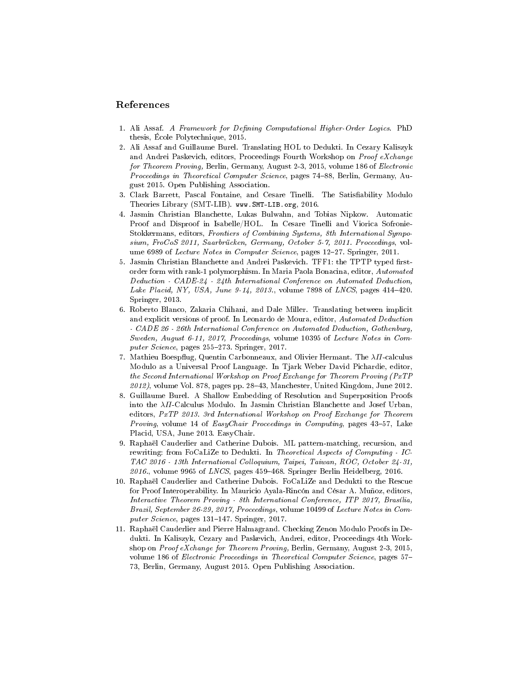### References

- <span id="page-16-1"></span>1. Ali Assaf. A Framework for Defining Computational Higher-Order Logics. PhD thesis, École Polytechnique, 2015.
- <span id="page-16-2"></span>2. Ali Assaf and Guillaume Burel. Translating HOL to Dedukti. In Cezary Kaliszyk and Andrei Paskevich, editors, Proceedings Fourth Workshop on Proof eXchange for Theorem Proving, Berlin, Germany, August 2-3, 2015, volume 186 of Electronic Proceedings in Theoretical Computer Science, pages 74-88, Berlin, Germany, August 2015. Open Publishing Association.
- <span id="page-16-8"></span>3. Clark Barrett, Pascal Fontaine, and Cesare Tinelli. The Satisability Modulo Theories Library (SMT-LIB). www.SMT-LIB.org, 2016.
- <span id="page-16-9"></span>4. Jasmin Christian Blanchette, Lukas Bulwahn, and Tobias Nipkow. Automatic Proof and Disproof in Isabelle/HOL. In Cesare Tinelli and Viorica Sofronie-Stokkermans, editors, Frontiers of Combining Systems, 8th International Symposium, FroCoS 2011, Saarbrücken, Germany, October 5-7, 2011. Proceedings, volume 6989 of Lecture Notes in Computer Science, pages 12-27. Springer, 2011.
- <span id="page-16-7"></span>5. Jasmin Christian Blanchette and Andrei Paskevich. TFF1: the TPTP typed firstorder form with rank-1 polymorphism. In Maria Paola Bonacina, editor, Automated Deduction - CADE-24 - 24th International Conference on Automated Deduction, Lake Placid, NY, USA, June  $9-14$ , 2013., volume 7898 of LNCS, pages  $414-420$ . Springer, 2013.
- <span id="page-16-10"></span>6. Roberto Blanco, Zakaria Chihani, and Dale Miller. Translating between implicit and explicit versions of proof. In Leonardo de Moura, editor, Automated Deduction - CADE 26 - 26th International Conference on Automated Deduction, Gothenburg, Sweden, August 6-11, 2017, Proceedings, volume 10395 of Lecture Notes in Computer Science, pages 255-273. Springer, 2017.
- <span id="page-16-0"></span>7. Mathieu Boespflug, Quentin Carbonneaux, and Olivier Hermant. The  $\lambda \Pi$ -calculus Modulo as a Universal Proof Language. In Tjark Weber David Pichardie, editor, the Second International Workshop on Proof Exchange for Theorem Proving (PxTP  $2012$ , volume Vol. 878, pages pp. 28-43, Manchester, United Kingdom, June 2012.
- <span id="page-16-5"></span>8. Guillaume Burel. A Shallow Embedding of Resolution and Superposition Proofs into the  $\lambda \Pi$ -Calculus Modulo. In Jasmin Christian Blanchette and Josef Urban, editors, PxTP 2013. 3rd International Workshop on Proof Exchange for Theorem Proving, volume 14 of  $EasyChain$  Proceedings in Computing, pages 43-57, Lake Placid, USA, June 2013. EasyChair.
- <span id="page-16-3"></span>9. Raphaël Cauderlier and Catherine Dubois. ML pattern-matching, recursion, and rewriting: from FoCaLiZe to Dedukti. In Theoretical Aspects of Computing - IC-TAC 2016 - 13th International Colloquium, Taipei, Taiwan, ROC, October 24-31,  $2016$ ., volume 9965 of LNCS, pages 459-468. Springer Berlin Heidelberg, 2016.
- <span id="page-16-6"></span>10. Raphaël Cauderlier and Catherine Dubois. FoCaLiZe and Dedukti to the Rescue for Proof Interoperability. In Mauricio Ayala-Rincón and César A. Muñoz, editors, Interactive Theorem Proving - 8th International Conference, ITP 2017, Brasília, Brazil, September 26-29, 2017, Proceedings, volume 10499 of Lecture Notes in Computer Science, pages  $131-147$ . Springer, 2017.
- <span id="page-16-4"></span>11. Raphaël Cauderlier and Pierre Halmagrand. Checking Zenon Modulo Proofs in Dedukti. In Kaliszyk, Cezary and Paskevich, Andrei, editor, Proceedings 4th Workshop on Proof eXchange for Theorem Proving, Berlin, Germany, August 2-3, 2015, volume 186 of Electronic Proceedings in Theoretical Computer Science, pages 57 73, Berlin, Germany, August 2015. Open Publishing Association.